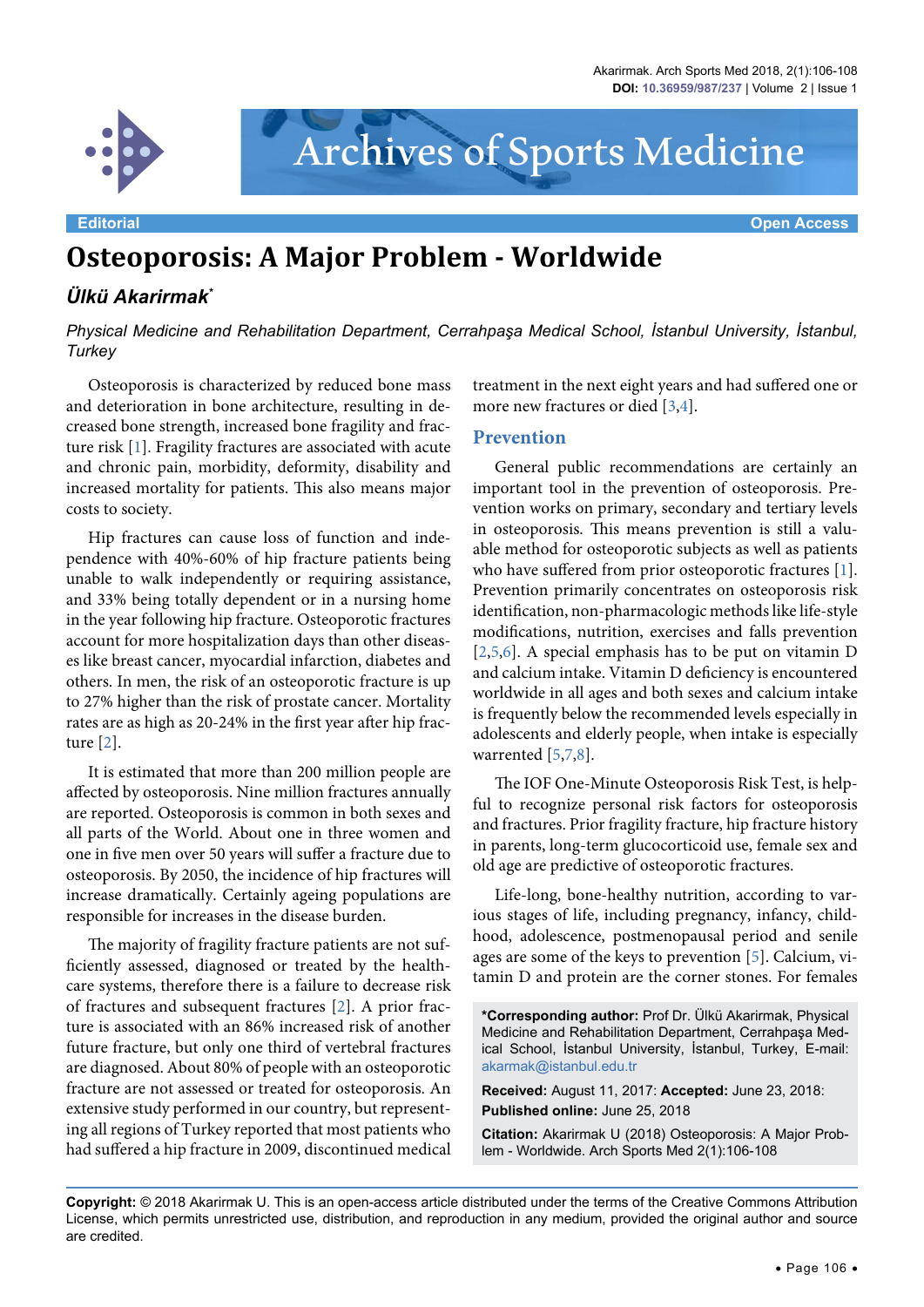

# Archives of Sports Medicine

# **Osteoporosis: A Major Problem - Worldwide**

## *Ülkü Akarirmak\**

### *Physical Medicine and Rehabilitation Department, Cerrahpaşa Medical School, İstanbul University, İstanbul, Turkey*

Osteoporosis is characterized by reduced bone mass and deterioration in bone architecture, resulting in decreased bone strength, increased bone fragility and fracture risk [\[1](#page-2-0)]. Fragility fractures are associated with acute and chronic pain, morbidity, deformity, disability and increased mortality for patients. This also means major costs to society.

Hip fractures can cause loss of function and independence with 40%-60% of hip fracture patients being unable to walk independently or requiring assistance, and 33% being totally dependent or in a nursing home in the year following hip fracture. Osteoporotic fractures account for more hospitalization days than other diseases like breast cancer, myocardial infarction, diabetes and others. In men, the risk of an osteoporotic fracture is up to 27% higher than the risk of prostate cancer. Mortality rates are as high as 20-24% in the first year after hip fracture [[2](#page-2-1)].

It is estimated that more than 200 million people are affected by osteoporosis. Nine million fractures annually are reported. Osteoporosis is common in both sexes and all parts of the World. About one in three women and one in five men over 50 years will suffer a fracture due to osteoporosis. By 2050, the incidence of hip fractures will increase dramatically. Certainly ageing populations are responsible for increases in the disease burden.

The majority of fragility fracture patients are not sufficiently assessed, diagnosed or treated by the healthcare systems, therefore there is a failure to decrease risk of fractures and subsequent fractures [\[2\]](#page-2-1). A prior fracture is associated with an 86% increased risk of another future fracture, but only one third of vertebral fractures are diagnosed. About 80% of people with an osteoporotic fracture are not assessed or treated for osteoporosis. An extensive study performed in our country, but representing all regions of Turkey reported that most patients who had suffered a hip fracture in 2009, discontinued medical treatment in the next eight years and had suffered one or more new fractures or died [\[3,](#page-2-2)[4](#page-2-3)].

#### **Prevention**

General public recommendations are certainly an important tool in the prevention of osteoporosis. Prevention works on primary, secondary and tertiary levels in osteoporosis. This means prevention is still a valuable method for osteoporotic subjects as well as patients who have suffered from prior osteoporotic fractures [\[1](#page-2-0)]. Prevention primarily concentrates on osteoporosis risk identification, non-pharmacologic methods like life-style modifications, nutrition, exercises and falls prevention [[2](#page-2-1)[,5,](#page-2-4)[6](#page-2-5)]. A special emphasis has to be put on vitamin D and calcium intake. Vitamin D deficiency is encountered worldwide in all ages and both sexes and calcium intake is frequently below the recommended levels especially in adolescents and elderly people, when intake is especially warrented [\[5](#page-2-4),[7](#page-2-6),[8\]](#page-2-7).

The IOF One-Minute Osteoporosis Risk Test, is helpful to recognize personal risk factors for osteoporosis and fractures. Prior fragility fracture, hip fracture history in parents, long-term glucocorticoid use, female sex and old age are predictive of osteoporotic fractures.

Life-long, bone-healthy nutrition, according to various stages of life, including pregnancy, infancy, childhood, adolescence, postmenopausal period and senile ages are some of the keys to prevention [\[5](#page-2-4)]. Calcium, vitamin D and protein are the corner stones. For females

**\*Corresponding author:** Prof Dr. Ülkü Akarirmak, Physical Medicine and Rehabilitation Department, Cerrahpaşa Medical School, İstanbul University, İstanbul, Turkey, E-mail: akarmak@istanbul.edu.tr

**Received:** August 11, 2017: **Accepted:** June 23, 2018: **Published online:** June 25, 2018

**Citation:** Akarirmak U (2018) Osteoporosis: A Major Problem - Worldwide. Arch Sports Med 2(1):106-108

**Copyright:** © 2018 Akarirmak U. This is an open-access article distributed under the terms of the Creative Commons Attribution License, which permits unrestricted use, distribution, and reproduction in any medium, provided the original author and source are credited.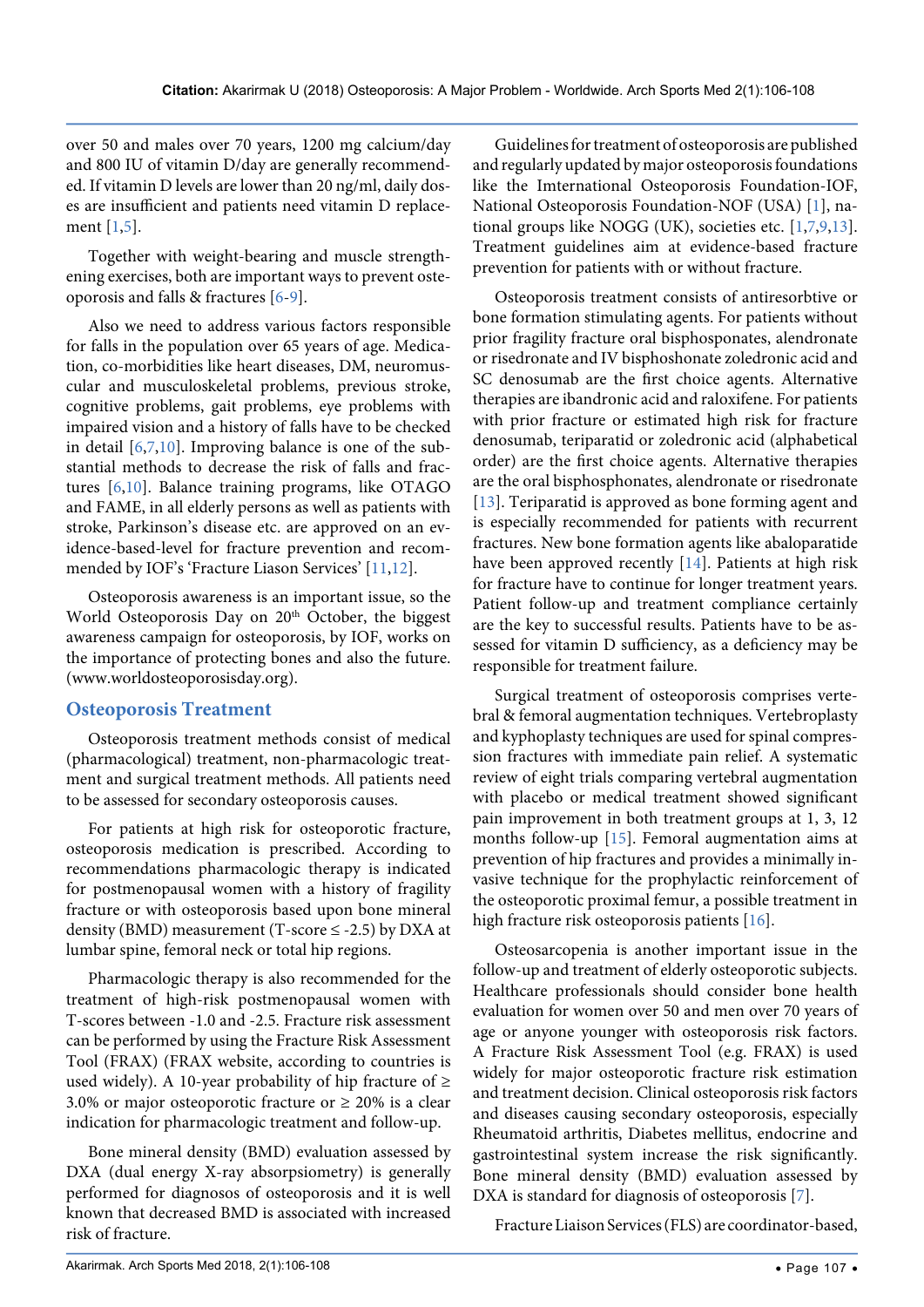over 50 and males over 70 years, 1200 mg calcium/day and 800 IU of vitamin D/day are generally recommended. If vitamin D levels are lower than 20 ng/ml, daily doses are insufficient and patients need vitamin D replacement [[1](#page-2-0),[5\]](#page-2-4).

Together with weight-bearing and muscle strengthening exercises, both are important ways to prevent osteoporosis and falls & fractures [\[6-](#page-2-5)[9\]](#page-2-8).

Also we need to address various factors responsible for falls in the population over 65 years of age. Medication, co-morbidities like heart diseases, DM, neuromuscular and musculoskeletal problems, previous stroke, cognitive problems, gait problems, eye problems with impaired vision and a history of falls have to be checked in detail  $[6,7,10]$  $[6,7,10]$  $[6,7,10]$  $[6,7,10]$  $[6,7,10]$ . Improving balance is one of the substantial methods to decrease the risk of falls and fractures [\[6](#page-2-5),[10](#page-2-9)]. Balance training programs, like OTAGO and FAME, in all elderly persons as well as patients with stroke, Parkinson's disease etc. are approved on an evidence-based-level for fracture prevention and recommended by IOF's 'Fracture Liason Services' [\[11](#page-2-10)[,12\]](#page-2-11).

Osteoporosis awareness is an important issue, so the World Osteoporosis Day on 20<sup>th</sup> October, the biggest awareness campaign for osteoporosis, by IOF, works on the importance of protecting bones and also the future. (www.worldosteoporosisday.org).

#### **Osteoporosis Treatment**

Osteoporosis treatment methods consist of medical (pharmacological) treatment, non-pharmacologic treatment and surgical treatment methods. All patients need to be assessed for secondary osteoporosis causes.

For patients at high risk for osteoporotic fracture, osteoporosis medication is prescribed. According to recommendations pharmacologic therapy is indicated for postmenopausal women with a history of fragility fracture or with osteoporosis based upon bone mineral density (BMD) measurement (T-score  $\le$  -2.5) by DXA at lumbar spine, femoral neck or total hip regions.

Pharmacologic therapy is also recommended for the treatment of high-risk postmenopausal women with T-scores between -1.0 and -2.5. Fracture risk assessment can be performed by using the Fracture Risk Assessment Tool (FRAX) (FRAX website, according to countries is used widely). A 10-year probability of hip fracture of  $\geq$ 3.0% or major osteoporotic fracture or  $\geq$  20% is a clear indication for pharmacologic treatment and follow-up.

Bone mineral density (BMD) evaluation assessed by DXA (dual energy X-ray absorpsiometry) is generally performed for diagnosos of osteoporosis and it is well known that decreased BMD is associated with increased risk of fracture.

Guidelines for treatment of osteoporosis are published and regularly updated by major osteoporosis foundations like the Imternational Osteoporosis Foundation-IOF, National Osteoporosis Foundation-NOF (USA) [\[1\]](#page-2-0), national groups like NOGG (UK), societies etc. [[1](#page-2-0)[,7,](#page-2-6)[9](#page-2-8),[13](#page-2-12)]. Treatment guidelines aim at evidence-based fracture prevention for patients with or without fracture.

Osteoporosis treatment consists of antiresorbtive or bone formation stimulating agents. For patients without prior fragility fracture oral bisphosponates, alendronate or risedronate and IV bisphoshonate zoledronic acid and SC denosumab are the first choice agents. Alternative therapies are ibandronic acid and raloxifene. For patients with prior fracture or estimated high risk for fracture denosumab, teriparatid or zoledronic acid (alphabetical order) are the first choice agents. Alternative therapies are the oral bisphosphonates, alendronate or risedronate [[13](#page-2-12)]. Teriparatid is approved as bone forming agent and is especially recommended for patients with recurrent fractures. New bone formation agents like abaloparatide have been approved recently [\[14\]](#page-2-13). Patients at high risk for fracture have to continue for longer treatment years. Patient follow-up and treatment compliance certainly are the key to successful results. Patients have to be assessed for vitamin D sufficiency, as a deficiency may be responsible for treatment failure.

Surgical treatment of osteoporosis comprises vertebral & femoral augmentation techniques. Vertebroplasty and kyphoplasty techniques are used for spinal compression fractures with immediate pain relief. A systematic review of eight trials comparing vertebral augmentation with placebo or medical treatment showed significant pain improvement in both treatment groups at 1, 3, 12 months follow-up [\[15\]](#page-2-14). Femoral augmentation aims at prevention of hip fractures and provides a minimally invasive technique for the prophylactic reinforcement of the osteoporotic proximal femur, a possible treatment in high fracture risk osteoporosis patients [\[16](#page-2-15)].

Osteosarcopenia is another important issue in the follow-up and treatment of elderly osteoporotic subjects. Healthcare professionals should consider bone health evaluation for women over 50 and men over 70 years of age or anyone younger with osteoporosis risk factors. A Fracture Risk Assessment Tool (e.g. FRAX) is used widely for major osteoporotic fracture risk estimation and treatment decision. Clinical osteoporosis risk factors and diseases causing secondary osteoporosis, especially Rheumatoid arthritis, Diabetes mellitus, endocrine and gastrointestinal system increase the risk significantly. Bone mineral density (BMD) evaluation assessed by DXA is standard for diagnosis of osteoporosis [\[7](#page-2-6)].

Fracture Liaison Services (FLS) are coordinator-based,